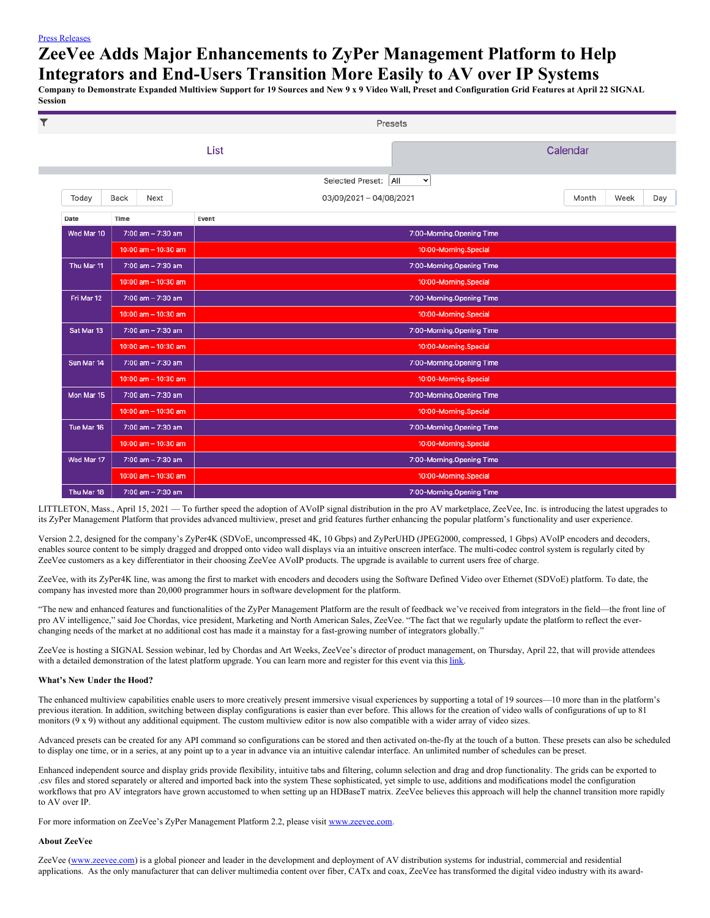## Press [Releases](https://www.feintuchcommunications.com/press-releases)

## **ZeeVee Adds Major Enhancements to ZyPer Management Platform to Help Integrators and End-Users Transition More Easily to AV over IP Systems**

Company to Demonstrate Expanded Multiview Support for 19 Sources and New 9 x 9 Video Wall, Preset and Configuration Grid Features at April 22 SIGNAL **Session**

| $\overline{\mathbf{T}}$ |                         | Presets                                       |          |      |     |
|-------------------------|-------------------------|-----------------------------------------------|----------|------|-----|
|                         |                         | List                                          | Calendar |      |     |
|                         |                         | <b>Selected Preset:</b><br>All<br>$\check{~}$ |          |      |     |
| Today                   | Back<br>Next            | 03/09/2021 - 04/08/2021                       | Month    | Week | Day |
| Date                    | Time                    | Event                                         |          |      |     |
| Wed Mar 10              | 7:00 am - 7:30 am       | 7:00-Morning.Opening Time                     |          |      |     |
|                         | $10:00$ am $- 10:30$ am | 10:00-Morning.Special                         |          |      |     |
| Thu Mar 11              | 7:00 am - 7:30 am       | 7:00-Morning.Opening Time                     |          |      |     |
|                         | $10:00$ am $- 10:30$ am | 10:00-Morning.Special                         |          |      |     |
| Fri Mar 12              | 7:00 am - 7:30 am       | 7:00-Morning.Opening Time                     |          |      |     |
|                         | $10:00$ am $- 10:30$ am | 10:00-Morning.Special                         |          |      |     |
| Sat Mar 13              | $7:00$ am $- 7:30$ am   | 7:00-Morning.Opening Time                     |          |      |     |
|                         | $10:00$ am $- 10:30$ am | 10:00-Morning.Special                         |          |      |     |
| Sun Mar 14              | 7:00 am - 7:30 am       | 7:00-Morning.Opening Time                     |          |      |     |
|                         | $10:00$ am $- 10:30$ am | 10:00-Morning.Special                         |          |      |     |
| Mon Mar 15              | 7:00 am - 7:30 am       | 7:00-Morning.Opening Time                     |          |      |     |
|                         | $10:00$ am $- 10:30$ am | 10:00-Morning.Special                         |          |      |     |
| Tue Mar 16              | 7:00 am - 7:30 am       | 7:00-Morning.Opening Time                     |          |      |     |
|                         | $10:00$ am $- 10:30$ am | 10:00-Morning.Special                         |          |      |     |
| Wed Mar 17              | 7:00 am - 7:30 am       | 7:00-Morning.Opening Time                     |          |      |     |
|                         | $10:00$ am $- 10:30$ am | 10:00-Morning.Special                         |          |      |     |
| Thu Mar 18              | 7:00 am - 7:30 am       | 7:00-Morning.Opening Time                     |          |      |     |

LITTLETON, Mass., April 15, 2021 — To further speed the adoption of AVoIP signal distribution in the pro AV marketplace, ZeeVee, Inc. is introducing the latest upgrades to its ZyPer Management Platform that provides advanced multiview, preset and grid features further enhancing the popular platform's functionality and user experience.

Version 2.2, designed for the company's ZyPer4K (SDVoE, uncompressed 4K, 10 Gbps) and ZyPerUHD (JPEG2000, compressed, 1 Gbps) AVoIP encoders and decoders, enables source content to be simply dragged and dropped onto video wall displays via an intuitive onscreen interface. The multi-codec control system is regularly cited by ZeeVee customers as a key differentiator in their choosing ZeeVee AVoIP products. The upgrade is available to current users free of charge.

ZeeVee, with its ZyPer4K line, was among the first to market with encoders and decoders using the Software Defined Video over Ethernet (SDVoE) platform. To date, the company has invested more than 20,000 programmer hours in software development for the platform.

"The new and enhanced features and functionalities of the ZyPer Management Platform are the result of feedback we've received from integrators in the field—the front line of pro AV intelligence," said Joe Chordas, vice president, Marketing and North American Sales, ZeeVee. "The fact that we regularly update the platform to reflect the everchanging needs of the market at no additional cost has made it a mainstay for a fast-growing number of integrators globally."

ZeeVee is hosting a SIGNAL Session webinar, led by Chordas and Art Weeks, ZeeVee's director of product management, on Thursday, April 22, that will provide attendees with a detailed demonstration of the latest platform upgrade. You can learn more and register for this event via this [link](https://www.zeevee.com/events-and-shows/).

## **What's New Under the Hood?**

The enhanced multiview capabilities enable users to more creatively present immersive visual experiences by supporting a total of 19 sources—10 more than in the platform's previous iteration. In addition, switching between display configurations is easier than ever before. This allows for the creation of video walls of configurations of up to 81 monitors (9 x 9) without any additional equipment. The custom multiview editor is now also compatible with a wider array of video sizes.

Advanced presets can be created for any API command so configurations can be stored and then activated on-the-fly at the touch of a button. These presets can also be scheduled to display one time, or in a series, at any point up to a year in advance via an intuitive calendar interface. An unlimited number of schedules can be preset.

Enhanced independent source and display grids provide flexibility, intuitive tabs and filtering, column selection and drag and drop functionality. The grids can be exported to .csv files and stored separately or altered and imported back into the system These sophisticated, yet simple to use, additions and modifications model the configuration workflows that pro AV integrators have grown accustomed to when setting up an HDBaseT matrix. ZeeVee believes this approach will help the channel transition more rapidly to AV over IP.

For more information on ZeeVee's ZyPer Management Platform 2.2, please visit [www.zeevee.com](http://www.zeevee.com/).

## **About ZeeVee**

ZeeVee [\(www.zeevee.com](http://www.zeevee.com/)) is a global pioneer and leader in the development and deployment of AV distribution systems for industrial, commercial and residential applications. As the only manufacturer that can deliver multimedia content over fiber, CATx and coax, ZeeVee has transformed the digital video industry with its award